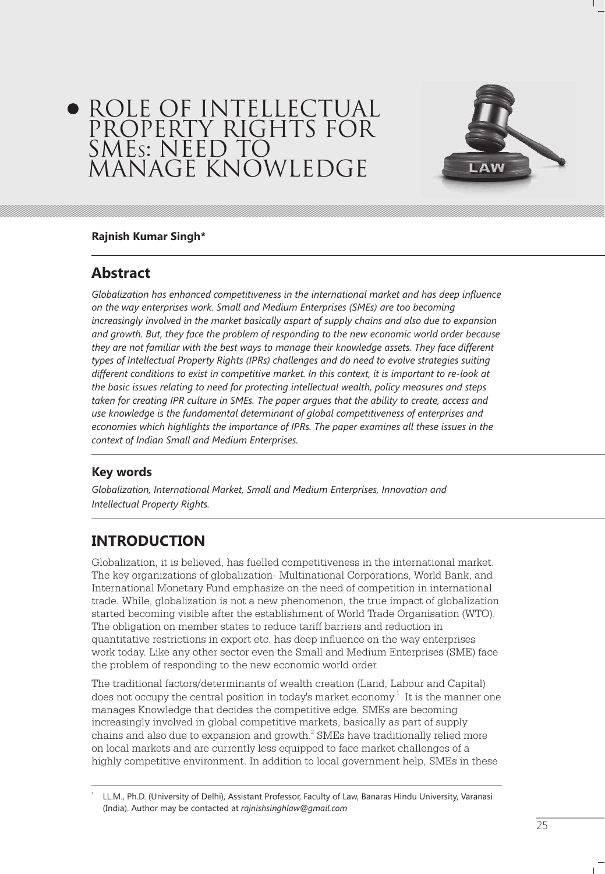# ROLE OF INTELLECTUAL PROPERTY RIGHTS FOR SMES: NEED TO MANAGE KNOWLEDGE



#### **Rajnish Kumar Singh\***

### **Abstract**

*Globalization has enhanced competitiveness in the international market and has deep influence on the way enterprises work. Small and Medium Enterprises (SMEs) are too becoming increasingly involved in the market basically aspart of supply chains and also due to expansion and growth. But, they face the problem of responding to the new economic world order because they are not familiar with the best ways to manage their knowledge assets. They face different types of Intellectual Property Rights (IPRs) challenges and do need to evolve strategies suiting different conditions to exist in competitive market. In this context, it is important to re-look at the basic issues relating to need for protecting intellectual wealth, policy measures and steps taken for creating IPR culture in SMEs. The paper argues that the ability to create, access and use knowledge is the fundamental determinant of global competitiveness of enterprises and economies which highlights the importance of IPRs. The paper examines all these issues in the context of Indian Small and Medium Enterprises.*

### **Key words**

\*

*Globalization, International Market, Small and Medium Enterprises, Innovation and Intellectual Property Rights.*

# **INTRODUCTION**

Globalization, it is believed, has fuelled competitiveness in the international market. The key organizations of globalization- Multinational Corporations, World Bank, and International Monetary Fund emphasize on the need of competition in international trade. While, globalization is not a new phenomenon, the true impact of globalization started becoming visible after the establishment of World Trade Organisation (WTO). The obligation on member states to reduce tariff barriers and reduction in quantitative restrictions in export etc. has deep influence on the way enterprises work today. Like any other sector even the Small and Medium Enterprises (SME) face the problem of responding to the new economic world order.

The traditional factors/determinants of wealth creation (Land, Labour and Capital) does not occupy the central position in today's market economy.<sup>1</sup> It is the manner one manages Knowledge that decides the competitive edge. SMEs are becoming increasingly involved in global competitive markets, basically as part of supply chains and also due to expansion and growth. $^2$  SMEs have traditionally relied more on local markets and are currently less equipped to face market challenges of a highly competitive environment. In addition to local government help, SMEs in these

LL.M., Ph.D. (University of Delhi), Assistant Professor, Faculty of Law, Banaras Hindu University, Varanasi (India). Author may be contacted at *rajnishsinghlaw@gmail.com*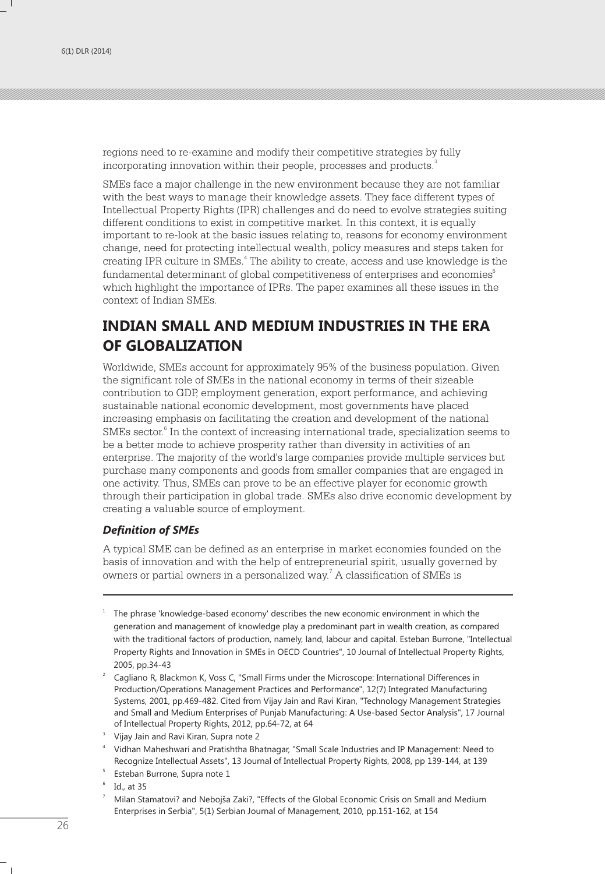regions need to re-examine and modify their competitive strategies by fully incorporating innovation within their people, processes and products. $^{\rm 3}$ 

SMEs face a major challenge in the new environment because they are not familiar with the best ways to manage their knowledge assets. They face different types of Intellectual Property Rights (IPR) challenges and do need to evolve strategies suiting different conditions to exist in competitive market. In this context, it is equally important to re-look at the basic issues relating to, reasons for economy environment change, need for protecting intellectual wealth, policy measures and steps taken for creating IPR culture in SMEs.<sup>4</sup> The ability to create, access and use knowledge is the fundamental determinant of global competitiveness of enterprises and economies $^{\rm 5}$ which highlight the importance of IPRs. The paper examines all these issues in the context of Indian SMEs.

## **INDIAN SMALL AND MEDIUM INDUSTRIES IN THE ERA OF GLOBALIZATION**

Worldwide, SMEs account for approximately 95% of the business population. Given the significant role of SMEs in the national economy in terms of their sizeable contribution to GDP, employment generation, export performance, and achieving sustainable national economic development, most governments have placed increasing emphasis on facilitating the creation and development of the national SMEs sector.<sup>6</sup> In the context of increasing international trade, specialization seems to be a better mode to achieve prosperity rather than diversity in activities of an enterprise. The majority of the world's large companies provide multiple services but purchase many components and goods from smaller companies that are engaged in one activity. Thus, SMEs can prove to be an effective player for economic growth through their participation in global trade. SMEs also drive economic development by creating a valuable source of employment.

#### *Definition of SMEs*

A typical SME can be defined as an enterprise in market economies founded on the basis of innovation and with the help of entrepreneurial spirit, usually governed by owners or partial owners in a personalized way.<sup>7</sup> A classification of SMEs is

- <sup>1</sup> The phrase 'knowledge-based economy' describes the new economic environment in which the generation and management of knowledge play a predominant part in wealth creation, as compared with the traditional factors of production, namely, land, labour and capital. Esteban Burrone, "Intellectual Property Rights and Innovation in SMEs in OECD Countries", 10 Journal of Intellectual Property Rights, 2005, pp.34-43
- 2 Cagliano R, Blackmon K, Voss C, "Small Firms under the Microscope: International Differences in Production/Operations Management Practices and Performance", 12(7) Integrated Manufacturing Systems, 2001, pp.469-482. Cited from Vijay Jain and Ravi Kiran, "Technology Management Strategies and Small and Medium Enterprises of Punjab Manufacturing: A Use-based Sector Analysis", 17 Journal of Intellectual Property Rights, 2012, pp.64-72, at 64

4 Vidhan Maheshwari and Pratishtha Bhatnagar, "Small Scale Industries and IP Management: Need to Recognize Intellectual Assets", 13 Journal of Intellectual Property Rights, 2008, pp 139-144, at 139

6 Id., at 35

<sup>7</sup> Milan Stamatovi? and Nebojša Zaki?, "Effects of the Global Economic Crisis on Small and Medium Enterprises in Serbia", 5(1) Serbian Journal of Management, 2010, pp.151-162, at 154

<sup>3</sup> Vijay Jain and Ravi Kiran, Supra note 2

<sup>5</sup> Esteban Burrone, Supra note 1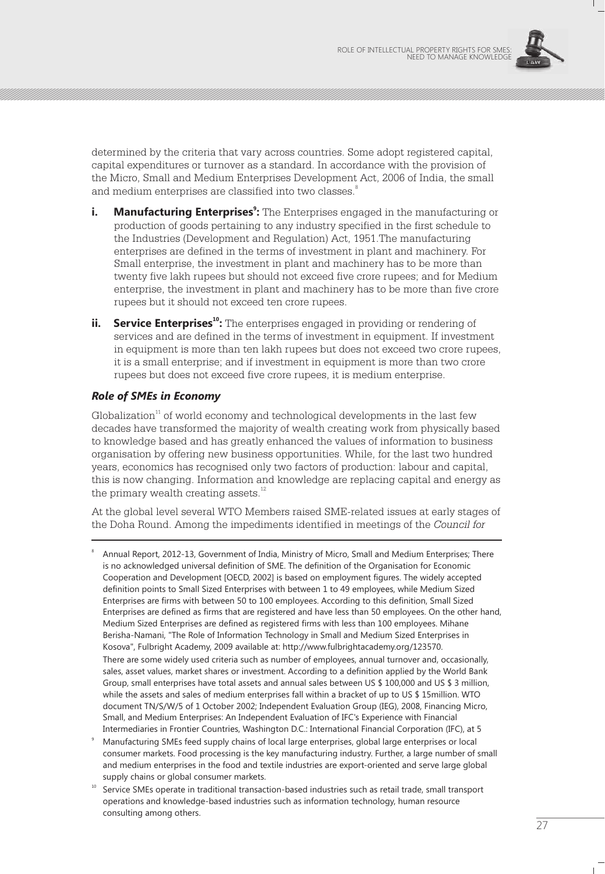

determined by the criteria that vary across countries. Some adopt registered capital, capital expenditures or turnover as a standard. In accordance with the provision of the Micro, Small and Medium Enterprises Development Act, 2006 of India, the small and medium enterprises are classified into two classes.<sup>8</sup>

- **i.** Manufacturing Enterprises<sup>9</sup>: The Enterprises engaged in the manufacturing or production of goods pertaining to any industry specified in the first schedule to the Industries (Development and Regulation) Act, 1951.The manufacturing enterprises are defined in the terms of investment in plant and machinery. For Small enterprise, the investment in plant and machinery has to be more than twenty five lakh rupees but should not exceed five crore rupees; and for Medium enterprise, the investment in plant and machinery has to be more than five crore rupees but it should not exceed ten crore rupees.
- **11. Service Enterprises<sup>10</sup>:** The enterprises engaged in providing or rendering of services and are defined in the terms of investment in equipment. If investment in equipment is more than ten lakh rupees but does not exceed two crore rupees, it is a small enterprise; and if investment in equipment is more than two crore rupees but does not exceed five crore rupees, it is medium enterprise.

#### *Role of SMEs in Economy*

Globalization<sup>11</sup> of world economy and technological developments in the last few decades have transformed the majority of wealth creating work from physically based to knowledge based and has greatly enhanced the values of information to business organisation by offering new business opportunities. While, for the last two hundred years, economics has recognised only two factors of production: labour and capital, this is now changing. Information and knowledge are replacing capital and energy as the primary wealth creating assets. $^{12}$ 

At the global level several WTO Members raised SME-related issues at early stages of the Doha Round. Among the impediments identified in meetings of the *Council for* 

8 Annual Report, 2012-13, Government of India, Ministry of Micro, Small and Medium Enterprises; There is no acknowledged universal definition of SME. The definition of the Organisation for Economic Cooperation and Development [OECD, 2002] is based on employment figures. The widely accepted definition points to Small Sized Enterprises with between 1 to 49 employees, while Medium Sized Enterprises are firms with between 50 to 100 employees. According to this definition, Small Sized Enterprises are defined as firms that are registered and have less than 50 employees. On the other hand, Medium Sized Enterprises are defined as registered firms with less than 100 employees. Mihane Berisha-Namani, "The Role of Information Technology in Small and Medium Sized Enterprises in Kosova", Fulbright Academy, 2009 available at: http://www.fulbrightacademy.org/123570. There are some widely used criteria such as number of employees, annual turnover and, occasionally, sales, asset values, market shares or investment. According to a definition applied by the World Bank Group, small enterprises have total assets and annual sales between US \$ 100,000 and US \$ 3 million, while the assets and sales of medium enterprises fall within a bracket of up to US \$ 15million. WTO document TN/S/W/5 of 1 October 2002; Independent Evaluation Group (IEG), 2008, Financing Micro, Small, and Medium Enterprises: An Independent Evaluation of IFC's Experience with Financial Intermediaries in Frontier Countries, Washington D.C.: International Financial Corporation (IFC), at 5

- <sup>9</sup> Manufacturing SMEs feed supply chains of local large enterprises, global large enterprises or local consumer markets. Food processing is the key manufacturing industry. Further, a large number of small and medium enterprises in the food and textile industries are export-oriented and serve large global supply chains or global consumer markets.
- Service SMEs operate in traditional transaction-based industries such as retail trade, small transport operations and knowledge-based industries such as information technology, human resource consulting among others.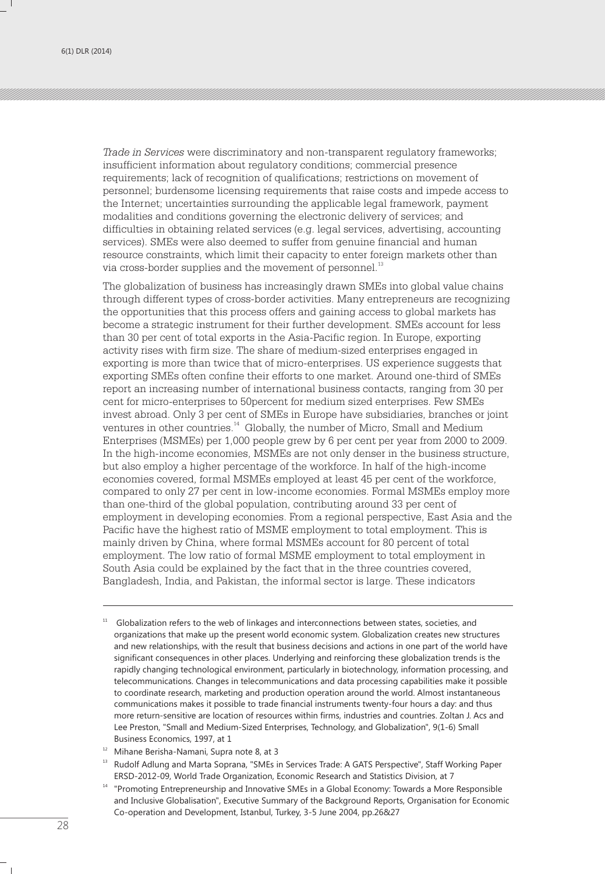*Trade in Services* were discriminatory and non-transparent regulatory frameworks; insufficient information about regulatory conditions; commercial presence requirements; lack of recognition of qualifications; restrictions on movement of personnel; burdensome licensing requirements that raise costs and impede access to the Internet; uncertainties surrounding the applicable legal framework, payment modalities and conditions governing the electronic delivery of services; and difficulties in obtaining related services (e.g. legal services, advertising, accounting services). SMEs were also deemed to suffer from genuine financial and human resource constraints, which limit their capacity to enter foreign markets other than via cross-border supplies and the movement of personnel.<sup>13</sup>

The globalization of business has increasingly drawn SMEs into global value chains through different types of cross-border activities. Many entrepreneurs are recognizing the opportunities that this process offers and gaining access to global markets has become a strategic instrument for their further development. SMEs account for less than 30 per cent of total exports in the Asia-Pacific region. In Europe, exporting activity rises with firm size. The share of medium-sized enterprises engaged in exporting is more than twice that of micro-enterprises. US experience suggests that exporting SMEs often confine their efforts to one market. Around one-third of SMEs report an increasing number of international business contacts, ranging from 30 per cent for micro-enterprises to 50percent for medium sized enterprises. Few SMEs invest abroad. Only 3 per cent of SMEs in Europe have subsidiaries, branches or joint ventures in other countries.<sup>14</sup> Globally, the number of Micro, Small and Medium Enterprises (MSMEs) per 1,000 people grew by 6 per cent per year from 2000 to 2009. In the high-income economies, MSMEs are not only denser in the business structure, but also employ a higher percentage of the workforce. In half of the high-income economies covered, formal MSMEs employed at least 45 per cent of the workforce, compared to only 27 per cent in low-income economies. Formal MSMEs employ more than one-third of the global population, contributing around 33 per cent of employment in developing economies. From a regional perspective, East Asia and the Pacific have the highest ratio of MSME employment to total employment. This is mainly driven by China, where formal MSMEs account for 80 percent of total employment. The low ratio of formal MSME employment to total employment in South Asia could be explained by the fact that in the three countries covered, Bangladesh, India, and Pakistan, the informal sector is large. These indicators

Globalization refers to the web of linkages and interconnections between states, societies, and organizations that make up the present world economic system. Globalization creates new structures and new relationships, with the result that business decisions and actions in one part of the world have significant consequences in other places. Underlying and reinforcing these globalization trends is the rapidly changing technological environment, particularly in biotechnology, information processing, and telecommunications. Changes in telecommunications and data processing capabilities make it possible to coordinate research, marketing and production operation around the world. Almost instantaneous communications makes it possible to trade financial instruments twenty-four hours a day: and thus more return-sensitive are location of resources within firms, industries and countries. Zoltan J. Acs and Lee Preston, "Small and Medium-Sized Enterprises, Technology, and Globalization", 9(1-6) Small Business Economics, 1997, at 1

<sup>&</sup>lt;sup>12</sup> Mihane Berisha-Namani, Supra note 8, at 3

<sup>&</sup>lt;sup>13</sup> Rudolf Adlung and Marta Soprana, "SMEs in Services Trade: A GATS Perspective", Staff Working Paper ERSD-2012-09, World Trade Organization, Economic Research and Statistics Division, at 7

<sup>&</sup>lt;sup>14</sup> "Promoting Entrepreneurship and Innovative SMEs in a Global Economy: Towards a More Responsible and Inclusive Globalisation", Executive Summary of the Background Reports, Organisation for Economic Co-operation and Development, Istanbul, Turkey, 3-5 June 2004, pp.26&27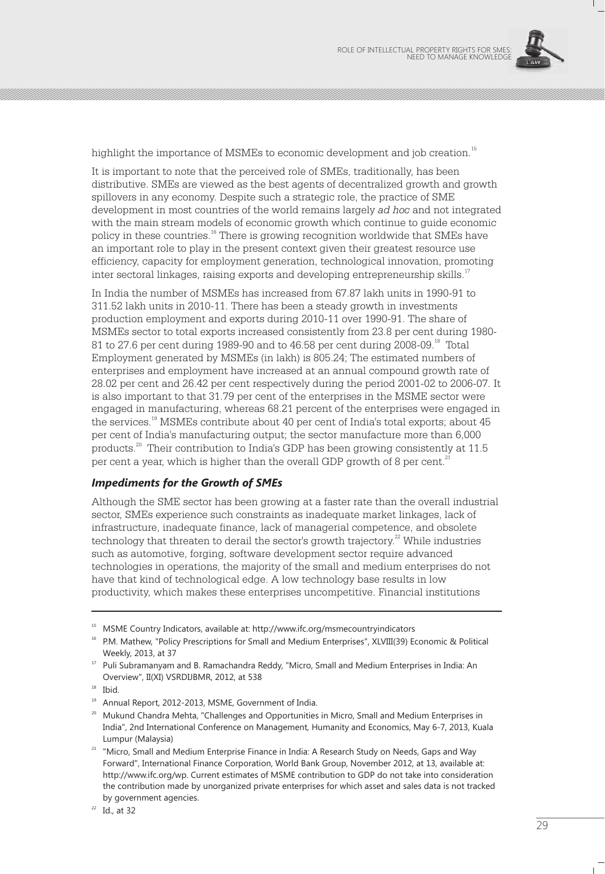

highlight the importance of MSMEs to economic development and job creation.<sup>15</sup>

It is important to note that the perceived role of SMEs, traditionally, has been distributive. SMEs are viewed as the best agents of decentralized growth and growth spillovers in any economy. Despite such a strategic role, the practice of SME development in most countries of the world remains largely *ad hoc* and not integrated with the main stream models of economic growth which continue to guide economic policy in these countries.<sup>16</sup> There is growing recognition worldwide that SMEs have an important role to play in the present context given their greatest resource use efficiency, capacity for employment generation, technological innovation, promoting inter sectoral linkages, raising exports and developing entrepreneurship skills.<sup>17</sup>

In India the number of MSMEs has increased from 67.87 lakh units in 1990-91 to 311.52 lakh units in 2010-11. There has been a steady growth in investments production employment and exports during 2010-11 over 1990-91. The share of MSMEs sector to total exports increased consistently from 23.8 per cent during 1980- 81 to 27.6 per cent during 1989-90 and to  $46.58$  per cent during 2008-09.<sup>18</sup> Total Employment generated by MSMEs (in lakh) is 805.24; The estimated numbers of enterprises and employment have increased at an annual compound growth rate of 28.02 per cent and 26.42 per cent respectively during the period 2001-02 to 2006-07. It is also important to that 31.79 per cent of the enterprises in the MSME sector were engaged in manufacturing, whereas 68.21 percent of the enterprises were engaged in the services.<sup>19</sup> MSMEs contribute about 40 per cent of India's total exports; about 45 per cent of India's manufacturing output; the sector manufacture more than 6,000 products.<sup>20</sup> Their contribution to India's GDP has been growing consistently at 11.5 per cent a year, which is higher than the overall GDP growth of 8 per cent.<sup>21</sup>

#### *Impediments for the Growth of SMEs*

Although the SME sector has been growing at a faster rate than the overall industrial sector, SMEs experience such constraints as inadequate market linkages, lack of infrastructure, inadequate finance, lack of managerial competence, and obsolete  $\alpha$  technology that threaten to derail the sector's growth trajectory.<sup>22</sup> While industries such as automotive, forging, software development sector require advanced technologies in operations, the majority of the small and medium enterprises do not have that kind of technological edge. A low technology base results in low productivity, which makes these enterprises uncompetitive. Financial institutions

<sup>15</sup> MSME Country Indicators, available at: http://www.ifc.org/msmecountryindicators

<sup>&</sup>lt;sup>16</sup> P.M. Mathew, "Policy Prescriptions for Small and Medium Enterprises", XLVIII(39) Economic & Political Weekly, 2013, at 37

<sup>&</sup>lt;sup>17</sup> Puli Subramanyam and B. Ramachandra Reddy, "Micro, Small and Medium Enterprises in India: An Overview", II(XI) VSRDIJBMR, 2012, at 538

<sup>&</sup>lt;sup>18</sup> Ibid.

<sup>19</sup> Annual Report, 2012-2013, MSME, Government of India.

<sup>&</sup>lt;sup>20</sup> Mukund Chandra Mehta, "Challenges and Opportunities in Micro, Small and Medium Enterprises in India", 2nd International Conference on Management, Humanity and Economics, May 6-7, 2013, Kuala Lumpur (Malaysia)

<sup>&</sup>lt;sup>21</sup> "Micro, Small and Medium Enterprise Finance in India: A Research Study on Needs, Gaps and Way Forward", International Finance Corporation, World Bank Group, November 2012, at 13, available at: http://www.ifc.org/wp. Current estimates of MSME contribution to GDP do not take into consideration the contribution made by unorganized private enterprises for which asset and sales data is not tracked by government agencies.

 $22$  Id., at 32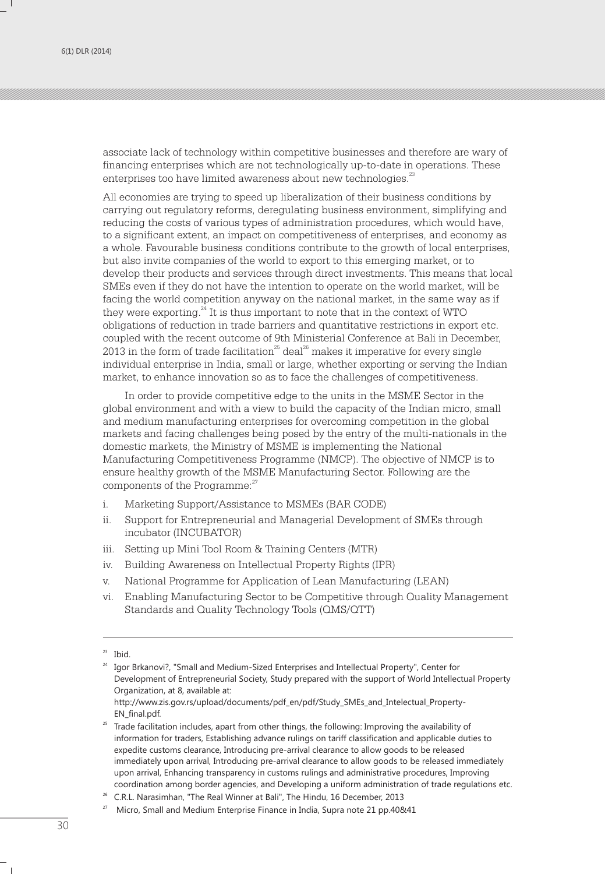associate lack of technology within competitive businesses and therefore are wary of financing enterprises which are not technologically up-to-date in operations. These enterprises too have limited awareness about new technologies.<sup>23</sup>

All economies are trying to speed up liberalization of their business conditions by carrying out regulatory reforms, deregulating business environment, simplifying and reducing the costs of various types of administration procedures, which would have, to a significant extent, an impact on competitiveness of enterprises, and economy as a whole. Favourable business conditions contribute to the growth of local enterprises, but also invite companies of the world to export to this emerging market, or to develop their products and services through direct investments. This means that local SMEs even if they do not have the intention to operate on the world market, will be facing the world competition anyway on the national market, in the same way as if they were exporting. $^{24}$  It is thus important to note that in the context of WTO obligations of reduction in trade barriers and quantitative restrictions in export etc. coupled with the recent outcome of 9th Ministerial Conference at Bali in December, 2013 in the form of trade facilitation<sup>25</sup> deal<sup>26</sup> makes it imperative for every single individual enterprise in India, small or large, whether exporting or serving the Indian market, to enhance innovation so as to face the challenges of competitiveness.

In order to provide competitive edge to the units in the MSME Sector in the global environment and with a view to build the capacity of the Indian micro, small and medium manufacturing enterprises for overcoming competition in the global markets and facing challenges being posed by the entry of the multi-nationals in the domestic markets, the Ministry of MSME is implementing the National Manufacturing Competitiveness Programme (NMCP). The objective of NMCP is to ensure healthy growth of the MSME Manufacturing Sector. Following are the components of the Programme:<sup>27</sup>

- i. Marketing Support/Assistance to MSMEs (BAR CODE)
- ii. Support for Entrepreneurial and Managerial Development of SMEs through incubator (INCUBATOR)
- iii. Setting up Mini Tool Room & Training Centers (MTR)
- iv. Building Awareness on Intellectual Property Rights (IPR)
- v. National Programme for Application of Lean Manufacturing (LEAN)
- vi. Enabling Manufacturing Sector to be Competitive through Quality Management Standards and Quality Technology Tools (QMS/QTT)

 $23$  Ibid.

<sup>&</sup>lt;sup>24</sup> Igor Brkanovi?, "Small and Medium-Sized Enterprises and Intellectual Property", Center for Development of Entrepreneurial Society, Study prepared with the support of World Intellectual Property Organization, at 8, available at: http://www.zis.gov.rs/upload/documents/pdf\_en/pdf/Study\_SMEs\_and\_Intelectual\_Property-

EN\_final.pdf.

<sup>&</sup>lt;sup>25</sup> Trade facilitation includes, apart from other things, the following: Improving the availability of information for traders, Establishing advance rulings on tariff classification and applicable duties to expedite customs clearance, Introducing pre-arrival clearance to allow goods to be released immediately upon arrival, Introducing pre-arrival clearance to allow goods to be released immediately upon arrival, Enhancing transparency in customs rulings and administrative procedures, Improving coordination among border agencies, and Developing a uniform administration of trade regulations etc.

 $26$  C.R.L. Narasimhan, "The Real Winner at Bali", The Hindu, 16 December, 2013

<sup>27</sup> Micro, Small and Medium Enterprise Finance in India, Supra note 21 pp.40&41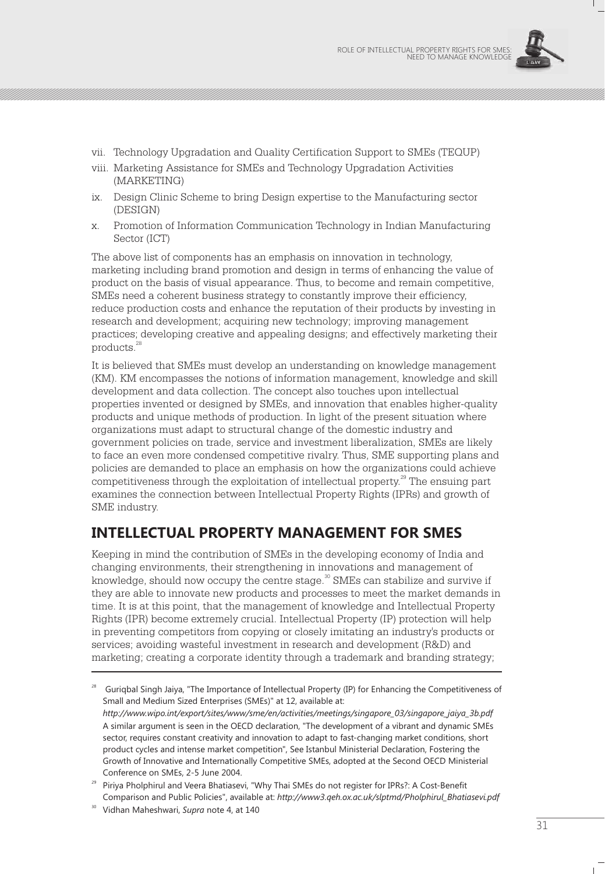

- vii. Technology Upgradation and Quality Certification Support to SMEs (TEQUP)
- viii. Marketing Assistance for SMEs and Technology Upgradation Activities (MARKETING)
- ix. Design Clinic Scheme to bring Design expertise to the Manufacturing sector (DESIGN)
- x. Promotion of Information Communication Technology in Indian Manufacturing Sector (ICT)

The above list of components has an emphasis on innovation in technology, marketing including brand promotion and design in terms of enhancing the value of product on the basis of visual appearance. Thus, to become and remain competitive, SMEs need a coherent business strategy to constantly improve their efficiency, reduce production costs and enhance the reputation of their products by investing in research and development; acquiring new technology; improving management practices; developing creative and appealing designs; and effectively marketing their products.<sup>28</sup>

It is believed that SMEs must develop an understanding on knowledge management (KM). KM encompasses the notions of information management, knowledge and skill development and data collection. The concept also touches upon intellectual properties invented or designed by SMEs, and innovation that enables higher-quality products and unique methods of production. In light of the present situation where organizations must adapt to structural change of the domestic industry and government policies on trade, service and investment liberalization, SMEs are likely to face an even more condensed competitive rivalry. Thus, SME supporting plans and policies are demanded to place an emphasis on how the organizations could achieve competitiveness through the exploitation of intellectual property.<sup>29</sup> The ensuing part examines the connection between Intellectual Property Rights (IPRs) and growth of SME industry.

# **INTELLECTUAL PROPERTY MANAGEMENT FOR SMES**

Keeping in mind the contribution of SMEs in the developing economy of India and changing environments, their strengthening in innovations and management of knowledge, should now occupy the centre stage. $\degree$  SMEs can stabilize and survive if they are able to innovate new products and processes to meet the market demands in time. It is at this point, that the management of knowledge and Intellectual Property Rights (IPR) become extremely crucial. Intellectual Property (IP) protection will help in preventing competitors from copying or closely imitating an industry's products or services; avoiding wasteful investment in research and development (R&D) and marketing; creating a corporate identity through a trademark and branding strategy;

<sup>28</sup> Guriqbal Singh Jaiya, "The Importance of Intellectual Property (IP) for Enhancing the Competitiveness of Small and Medium Sized Enterprises (SMEs)" at 12, available at: *http://www.wipo.int/export/sites/www/sme/en/activities/meetings/singapore\_03/singapore\_jaiya\_3b.pdf* A similar argument is seen in the OECD declaration, "The development of a vibrant and dynamic SMEs sector, requires constant creativity and innovation to adapt to fast-changing market conditions, short product cycles and intense market competition", See Istanbul Ministerial Declaration, Fostering the Growth of Innovative and Internationally Competitive SMEs, adopted at the Second OECD Ministerial Conference on SMEs, 2-5 June 2004.

<sup>&</sup>lt;sup>29</sup> Piriya Pholphirul and Veera Bhatiasevi, "Why Thai SMEs do not register for IPRs?: A Cost-Benefit Comparison and Public Policies", available at: *http://www3.qeh.ox.ac.uk/slptmd/Pholphirul\_Bhatiasevi.pdf*

<sup>30</sup> Vidhan Maheshwari, *Supra* note 4, at 140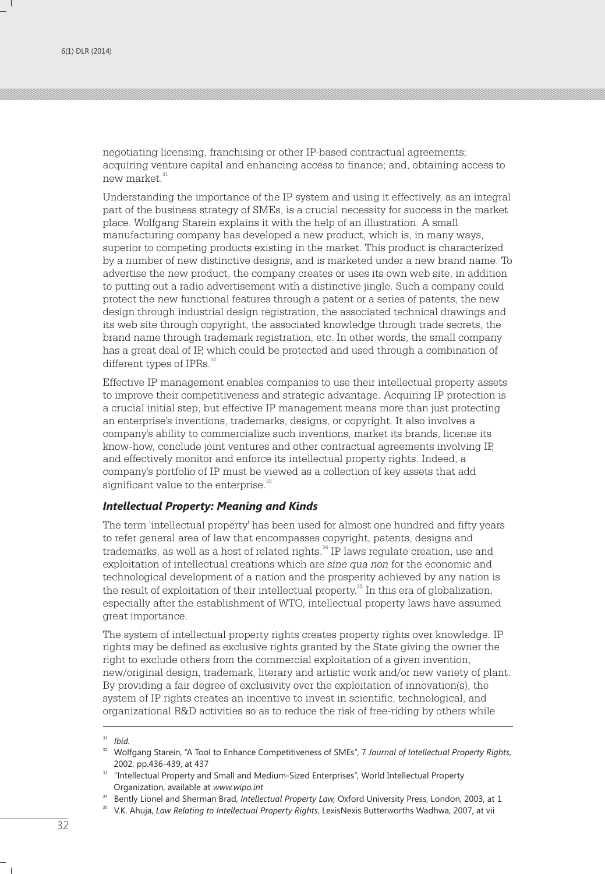negotiating licensing, franchising or other IP-based contractual agreements; acquiring venture capital and enhancing access to finance; and, obtaining access to new market.<sup>31</sup>

Understanding the importance of the IP system and using it effectively, as an integral part of the business strategy of SMEs, is a crucial necessity for success in the market place. Wolfgang Starein explains it with the help of an illustration. A small manufacturing company has developed a new product, which is, in many ways, superior to competing products existing in the market. This product is characterized by a number of new distinctive designs, and is marketed under a new brand name. To advertise the new product, the company creates or uses its own web site, in addition to putting out a radio advertisement with a distinctive jingle. Such a company could protect the new functional features through a patent or a series of patents, the new design through industrial design registration, the associated technical drawings and its web site through copyright, the associated knowledge through trade secrets, the brand name through trademark registration, etc. In other words, the small company has a great deal of IP, which could be protected and used through a combination of different types of IPRs.<sup>32</sup>

Effective IP management enables companies to use their intellectual property assets to improve their competitiveness and strategic advantage. Acquiring IP protection is a crucial initial step, but effective IP management means more than just protecting an enterprise's inventions, trademarks, designs, or copyright. It also involves a company's ability to commercialize such inventions, market its brands, license its know-how, conclude joint ventures and other contractual agreements involving IP, and effectively monitor and enforce its intellectual property rights. Indeed, a company's portfolio of IP must be viewed as a collection of key assets that add significant value to the enterprise.<sup>33</sup>

#### *Intellectual Property: Meaning and Kinds*

The term 'intellectual property' has been used for almost one hundred and fifty years to refer general area of law that encompasses copyright, patents, designs and trademarks, as well as a host of related rights.<sup>34</sup> IP laws regulate creation, use and exploitation of intellectual creations which are *sine qua non* for the economic and technological development of a nation and the prosperity achieved by any nation is the result of exploitation of their intellectual property.<sup>35</sup> In this era of globalization, especially after the establishment of WTO, intellectual property laws have assumed great importance.

The system of intellectual property rights creates property rights over knowledge. IP rights may be defined as exclusive rights granted by the State giving the owner the right to exclude others from the commercial exploitation of a given invention, new/original design, trademark, literary and artistic work and/or new variety of plant. By providing a fair degree of exclusivity over the exploitation of innovation(s), the system of IP rights creates an incentive to invest in scientific, technological, and organizational R&D activities so as to reduce the risk of free-riding by others while

<sup>31</sup> *Ibid.*

<sup>32</sup> Wolfgang Starein, "A Tool to Enhance Competitiveness of SMEs", 7 *Journal of Intellectual Property Rights*, 2002, pp.436-439, at 437

<sup>33</sup> "Intellectual Property and Small and Medium-Sized Enterprises", World Intellectual Property Organization, available at *www.wipo.int*

<sup>&</sup>lt;sup>34</sup> Bently Lionel and Sherman Brad, *Intellectual Property Law*, Oxford University Press, London, 2003, at 1

<sup>&</sup>lt;sup>35</sup> V.K. Ahuia, *Law Relating to Intellectual Property Rights*, LexisNexis Butterworths Wadhwa, 2007, at vii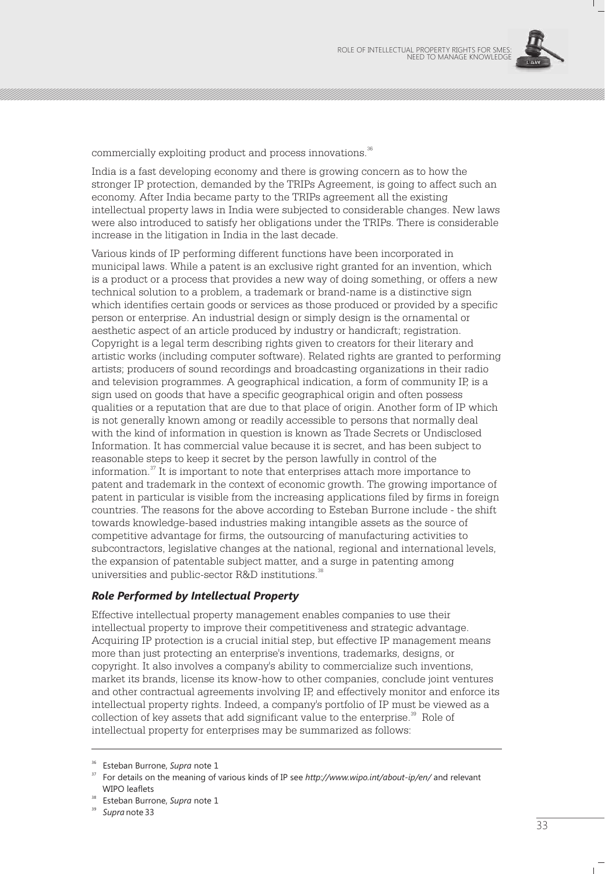

commercially exploiting product and process innovations.<sup>36</sup>

India is a fast developing economy and there is growing concern as to how the stronger IP protection, demanded by the TRIPs Agreement, is going to affect such an economy. After India became party to the TRIPs agreement all the existing intellectual property laws in India were subjected to considerable changes. New laws were also introduced to satisfy her obligations under the TRIPs. There is considerable increase in the litigation in India in the last decade.

Various kinds of IP performing different functions have been incorporated in municipal laws. While a patent is an exclusive right granted for an invention, which is a product or a process that provides a new way of doing something, or offers a new technical solution to a problem, a trademark or brand-name is a distinctive sign which identifies certain goods or services as those produced or provided by a specific person or enterprise. An industrial design or simply design is the ornamental or aesthetic aspect of an article produced by industry or handicraft; registration. Copyright is a legal term describing rights given to creators for their literary and artistic works (including computer software). Related rights are granted to performing artists; producers of sound recordings and broadcasting organizations in their radio and television programmes. A geographical indication, a form of community IP, is a sign used on goods that have a specific geographical origin and often possess qualities or a reputation that are due to that place of origin. Another form of IP which is not generally known among or readily accessible to persons that normally deal with the kind of information in question is known as Trade Secrets or Undisclosed Information. It has commercial value because it is secret, and has been subject to reasonable steps to keep it secret by the person lawfully in control of the information.<sup>37</sup> It is important to note that enterprises attach more importance to patent and trademark in the context of economic growth. The growing importance of patent in particular is visible from the increasing applications filed by firms in foreign countries. The reasons for the above according to Esteban Burrone include - the shift towards knowledge-based industries making intangible assets as the source of competitive advantage for firms, the outsourcing of manufacturing activities to subcontractors, legislative changes at the national, regional and international levels, the expansion of patentable subject matter, and a surge in patenting among universities and public-sector R&D institutions.<sup>38</sup>

#### *Role Performed by Intellectual Property*

Effective intellectual property management enables companies to use their intellectual property to improve their competitiveness and strategic advantage. Acquiring IP protection is a crucial initial step, but effective IP management means more than just protecting an enterprise's inventions, trademarks, designs, or copyright. It also involves a company's ability to commercialize such inventions, market its brands, license its know-how to other companies, conclude joint ventures and other contractual agreements involving IP, and effectively monitor and enforce its intellectual property rights. Indeed, a company's portfolio of IP must be viewed as a collection of key assets that add significant value to the enterprise.<sup>39</sup> Role of intellectual property for enterprises may be summarized as follows:

<sup>36</sup> Esteban Burrone, *Supra* note 1

<sup>37</sup> For details on the meaning of various kinds of IP see *http://www.wipo.int/about-ip/en/* and relevant WIPO leaflets

<sup>38</sup> Esteban Burrone, *Supra* note 1

<sup>39</sup> *Supra* note 33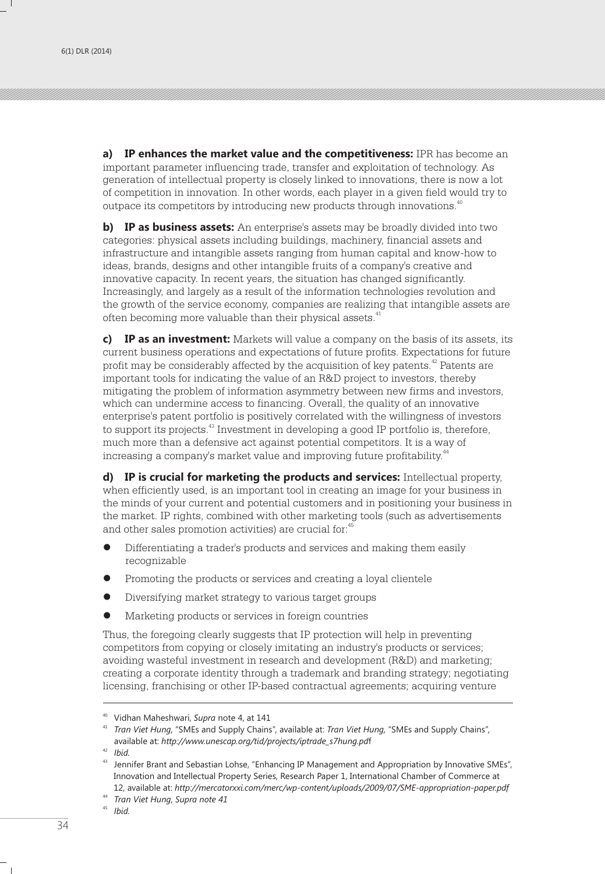**a) IP enhances the market value and the competitiveness:** IPR has become an important parameter influencing trade, transfer and exploitation of technology. As generation of intellectual property is closely linked to innovations, there is now a lot of competition in innovation. In other words, each player in a given field would try to outpace its competitors by introducing new products through innovations.<sup>40</sup>

**b) IP as business assets:** An enterprise's assets may be broadly divided into two categories: physical assets including buildings, machinery, financial assets and infrastructure and intangible assets ranging from human capital and know-how to ideas, brands, designs and other intangible fruits of a company's creative and innovative capacity. In recent years, the situation has changed significantly. Increasingly, and largely as a result of the information technologies revolution and the growth of the service economy, companies are realizing that intangible assets are often becoming more valuable than their physical assets.<sup>41</sup>

**c) IP as an investment:** Markets will value a company on the basis of its assets, its current business operations and expectations of future profits. Expectations for future profit may be considerably affected by the acquisition of key patents.<sup>42</sup> Patents are important tools for indicating the value of an R&D project to investors, thereby mitigating the problem of information asymmetry between new firms and investors, which can undermine access to financing. Overall, the quality of an innovative enterprise's patent portfolio is positively correlated with the willingness of investors to support its projects.<sup>43</sup> Investment in developing a good IP portfolio is, therefore, much more than a defensive act against potential competitors. It is a way of increasing a company's market value and improving future profitability.<sup>44</sup>

**d) IP is crucial for marketing the products and services:** Intellectual property, when efficiently used, is an important tool in creating an image for your business in the minds of your current and potential customers and in positioning your business in the market. IP rights, combined with other marketing tools (such as advertisements and other sales promotion activities) are crucial for:<sup>45</sup>

- **•** Differentiating a trader's products and services and making them easily recognizable
- l Promoting the products or services and creating a loyal clientele
- $\bullet$  Diversifying market strategy to various target groups
- $\bullet$  Marketing products or services in foreign countries

Thus, the foregoing clearly suggests that IP protection will help in preventing competitors from copying or closely imitating an industry's products or services; avoiding wasteful investment in research and development (R&D) and marketing; creating a corporate identity through a trademark and branding strategy; negotiating licensing, franchising or other IP-based contractual agreements; acquiring venture

<sup>42</sup> *Ibid.*

<sup>40</sup> Vidhan Maheshwari, *Supra* note 4, at 141

<sup>41</sup> *Tran Viet Hung,* "SMEs and Supply Chains", available at: *Tran Viet Hung,* "SMEs and Supply Chains", available at: *http://www.unescap.org/tid/projects/iptrade\_s7hung.pd*f

<sup>43</sup> Jennifer Brant and Sebastian Lohse, "Enhancing IP Management and Appropriation by Innovative SMEs", Innovation and Intellectual Property Series, Research Paper 1, International Chamber of Commerce at 12, available at: *http://mercatorxxi.com/merc/wp-content/uploads/2009/07/SME-appropriation-paper.pdf*

<sup>44</sup> *Tran Viet Hung, Supra note 41*

*Ibid.*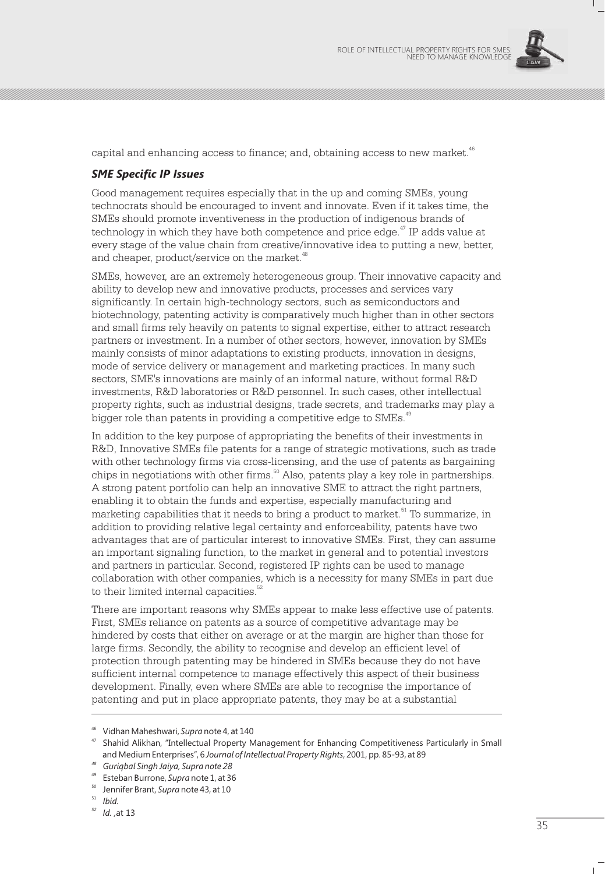

capital and enhancing access to finance; and, obtaining access to new market.<sup>46</sup>

#### *SME Specific IP Issues*

Good management requires especially that in the up and coming SMEs, young technocrats should be encouraged to invent and innovate. Even if it takes time, the SMEs should promote inventiveness in the production of indigenous brands of  $\alpha$  technology in which they have both competence and price edge.<sup> $47$ </sup> IP adds value at every stage of the value chain from creative/innovative idea to putting a new, better, and cheaper, product/service on the market.<sup>48</sup>

SMEs, however, are an extremely heterogeneous group. Their innovative capacity and ability to develop new and innovative products, processes and services vary significantly. In certain high-technology sectors, such as semiconductors and biotechnology, patenting activity is comparatively much higher than in other sectors and small firms rely heavily on patents to signal expertise, either to attract research partners or investment. In a number of other sectors, however, innovation by SMEs mainly consists of minor adaptations to existing products, innovation in designs, mode of service delivery or management and marketing practices. In many such sectors, SME's innovations are mainly of an informal nature, without formal R&D investments, R&D laboratories or R&D personnel. In such cases, other intellectual property rights, such as industrial designs, trade secrets, and trademarks may play a bigger role than patents in providing a competitive edge to SMEs.<sup>49</sup>

In addition to the key purpose of appropriating the benefits of their investments in R&D, Innovative SMEs file patents for a range of strategic motivations, such as trade with other technology firms via cross-licensing, and the use of patents as bargaining chips in negotiations with other firms.  $60$  Also, patents play a key role in partnerships. A strong patent portfolio can help an innovative SME to attract the right partners, enabling it to obtain the funds and expertise, especially manufacturing and marketing capabilities that it needs to bring a product to market.<sup>51</sup> To summarize, in addition to providing relative legal certainty and enforceability, patents have two advantages that are of particular interest to innovative SMEs. First, they can assume an important signaling function, to the market in general and to potential investors and partners in particular. Second, registered IP rights can be used to manage collaboration with other companies, which is a necessity for many SMEs in part due to their limited internal capacities.<sup>52</sup>

There are important reasons why SMEs appear to make less effective use of patents. First, SMEs reliance on patents as a source of competitive advantage may be hindered by costs that either on average or at the margin are higher than those for large firms. Secondly, the ability to recognise and develop an efficient level of protection through patenting may be hindered in SMEs because they do not have sufficient internal competence to manage effectively this aspect of their business development. Finally, even where SMEs are able to recognise the importance of patenting and put in place appropriate patents, they may be at a substantial

<sup>46</sup> Vidhan Maheshwari, *Supra* note 4, at 140

<sup>47</sup> Shahid Alikhan, "Intellectual Property Management for Enhancing Competitiveness Particularly in Small and Medium Enterprises", 6 *Journal of Intellectual Property Rights*, 2001, pp. 85-93, at 89

*<sup>48</sup> Guriqbal Singh Jaiya, Supra note 28*

<sup>49</sup> Esteban Burrone, *Supra* note 1, at 36

<sup>50</sup> Jennifer Brant, *Supra* note 43, at 10

<sup>51</sup> *Ibid.*

*<sup>52</sup> Id. ,*at 13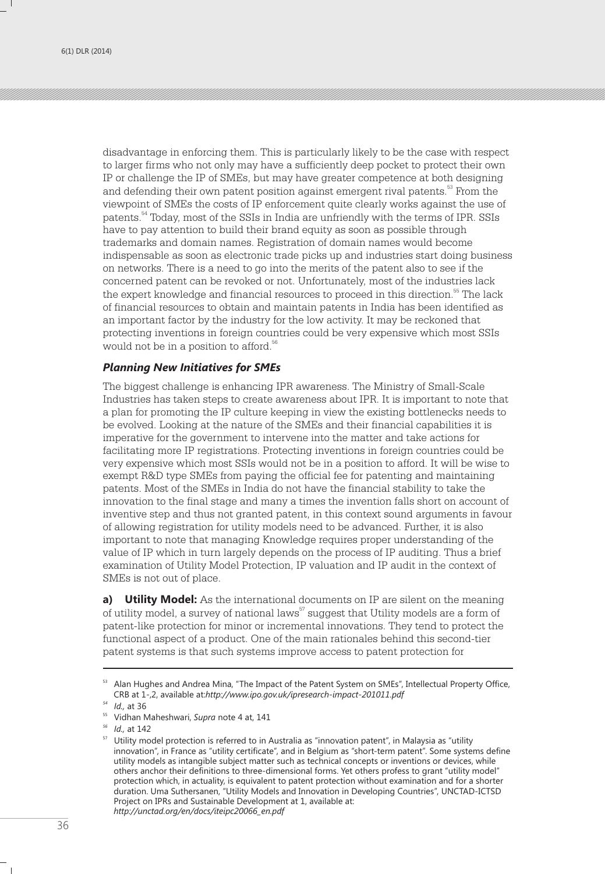disadvantage in enforcing them. This is particularly likely to be the case with respect to larger firms who not only may have a sufficiently deep pocket to protect their own IP or challenge the IP of SMEs, but may have greater competence at both designing and defending their own patent position against emergent rival patents.<sup>53</sup> From the viewpoint of SMEs the costs of IP enforcement quite clearly works against the use of patents.<sup>54</sup> Today, most of the SSIs in India are unfriendly with the terms of IPR. SSIs have to pay attention to build their brand equity as soon as possible through trademarks and domain names. Registration of domain names would become indispensable as soon as electronic trade picks up and industries start doing business on networks. There is a need to go into the merits of the patent also to see if the concerned patent can be revoked or not. Unfortunately, most of the industries lack the expert knowledge and financial resources to proceed in this direction.  $55$  The lack of financial resources to obtain and maintain patents in India has been identified as an important factor by the industry for the low activity. It may be reckoned that protecting inventions in foreign countries could be very expensive which most SSIs would not be in a position to afford.<sup>56</sup>

#### *Planning New Initiatives for SMEs*

The biggest challenge is enhancing IPR awareness. The Ministry of Small-Scale Industries has taken steps to create awareness about IPR. It is important to note that a plan for promoting the IP culture keeping in view the existing bottlenecks needs to be evolved. Looking at the nature of the SMEs and their financial capabilities it is imperative for the government to intervene into the matter and take actions for facilitating more IP registrations. Protecting inventions in foreign countries could be very expensive which most SSIs would not be in a position to afford. It will be wise to exempt R&D type SMEs from paying the official fee for patenting and maintaining patents. Most of the SMEs in India do not have the financial stability to take the innovation to the final stage and many a times the invention falls short on account of inventive step and thus not granted patent, in this context sound arguments in favour of allowing registration for utility models need to be advanced. Further, it is also important to note that managing Knowledge requires proper understanding of the value of IP which in turn largely depends on the process of IP auditing. Thus a brief examination of Utility Model Protection, IP valuation and IP audit in the context of SMEs is not out of place.

**a) Utility Model:** As the international documents on IP are silent on the meaning of utility model, a survey of national laws<sup>57</sup> suggest that Utility models are a form of patent-like protection for minor or incremental innovations. They tend to protect the functional aspect of a product. One of the main rationales behind this second-tier patent systems is that such systems improve access to patent protection for

<sup>&</sup>lt;sup>53</sup> Alan Hughes and Andrea Mina, "The Impact of the Patent System on SMEs", Intellectual Property Office, CRB at 1-,2, available at:*http://www.ipo.gov.uk/ipresearch-impact-201011.pdf*

*<sup>54</sup> Id.,* at 36

<sup>55</sup> Vidhan Maheshwari, *Supra* note 4 at, 141

*<sup>56</sup> Id.,* at 142

 $57$  Utility model protection is referred to in Australia as "innovation patent", in Malaysia as "utility innovation", in France as "utility certificate", and in Belgium as "short-term patent". Some systems define utility models as intangible subject matter such as technical concepts or inventions or devices, while others anchor their definitions to three-dimensional forms. Yet others profess to grant "utility model" protection which, in actuality, is equivalent to patent protection without examination and for a shorter duration. Uma Suthersanen, "Utility Models and Innovation in Developing Countries", UNCTAD-ICTSD Project on IPRs and Sustainable Development at 1, available at: *http://unctad.org/en/docs/iteipc20066\_en.pdf*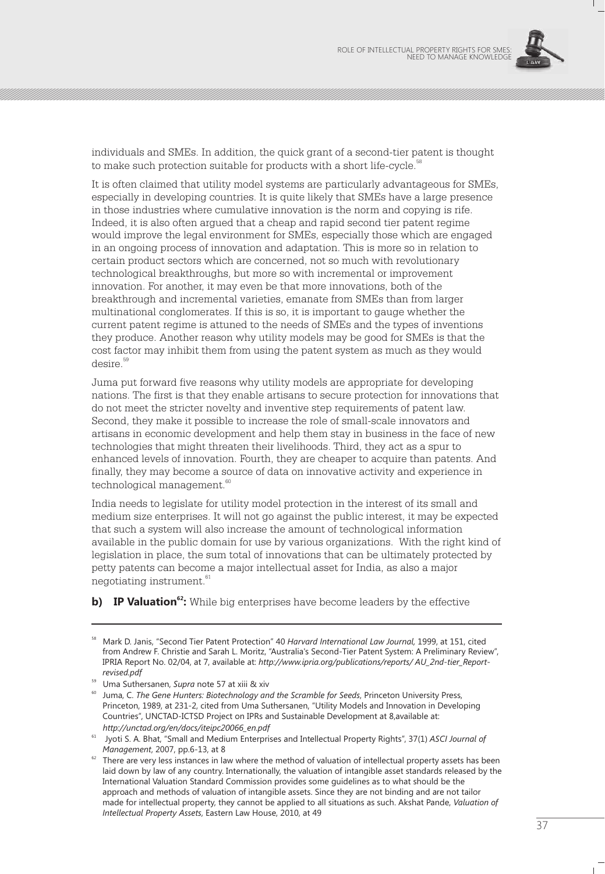

individuals and SMEs. In addition, the quick grant of a second-tier patent is thought to make such protection suitable for products with a short life-cycle.<sup>58</sup>

It is often claimed that utility model systems are particularly advantageous for SMEs, especially in developing countries. It is quite likely that SMEs have a large presence in those industries where cumulative innovation is the norm and copying is rife. Indeed, it is also often argued that a cheap and rapid second tier patent regime would improve the legal environment for SMEs, especially those which are engaged in an ongoing process of innovation and adaptation. This is more so in relation to certain product sectors which are concerned, not so much with revolutionary technological breakthroughs, but more so with incremental or improvement innovation. For another, it may even be that more innovations, both of the breakthrough and incremental varieties, emanate from SMEs than from larger multinational conglomerates. If this is so, it is important to gauge whether the current patent regime is attuned to the needs of SMEs and the types of inventions they produce. Another reason why utility models may be good for SMEs is that the cost factor may inhibit them from using the patent system as much as they would desire.<sup>59</sup>

Juma put forward five reasons why utility models are appropriate for developing nations. The first is that they enable artisans to secure protection for innovations that do not meet the stricter novelty and inventive step requirements of patent law. Second, they make it possible to increase the role of small-scale innovators and artisans in economic development and help them stay in business in the face of new technologies that might threaten their livelihoods. Third, they act as a spur to enhanced levels of innovation. Fourth, they are cheaper to acquire than patents. And finally, they may become a source of data on innovative activity and experience in technological management.<sup>60</sup>

India needs to legislate for utility model protection in the interest of its small and medium size enterprises. It will not go against the public interest, it may be expected that such a system will also increase the amount of technological information available in the public domain for use by various organizations. With the right kind of legislation in place, the sum total of innovations that can be ultimately protected by petty patents can become a major intellectual asset for India, as also a major negotiating instrument.<sup>61</sup>

**b) IP Valuation**<sup>62</sup>: While big enterprises have become leaders by the effective

<sup>58</sup> Mark D. Janis, "Second Tier Patent Protection" 40 *Harvard International Law Journal,* 1999, at 151, cited from Andrew F. Christie and Sarah L. Moritz, "Australia's Second-Tier Patent System: A Preliminary Review", IPRIA Report No. 02/04, at 7, available at: *http://www.ipria.org/publications/reports/ AU\_2nd-tier\_Reportrevised.pdf*

<sup>59</sup> Uma Suthersanen, *Supra* note 57 at xiii & xiv

Juma, C. The Gene Hunters: Biotechnology and the Scramble for Seeds, Princeton University Press, Princeton, 1989, at 231-2, cited from Uma Suthersanen, "Utility Models and Innovation in Developing Countries", UNCTAD-ICTSD Project on IPRs and Sustainable Development at 8,available at: *http://unctad.org/en/docs/iteipc20066\_en.pdf*

<sup>61</sup> Jyoti S. A. Bhat, "Small and Medium Enterprises and Intellectual Property Rights", 37(1) *ASCI Journal of Management*, 2007, pp.6-13, at 8

 $62$  There are very less instances in law where the method of valuation of intellectual property assets has been laid down by law of any country. Internationally, the valuation of intangible asset standards released by the International Valuation Standard Commission provides some guidelines as to what should be the approach and methods of valuation of intangible assets. Since they are not binding and are not tailor made for intellectual property, they cannot be applied to all situations as such. Akshat Pande, *Valuation of Intellectual Property Assets*, Eastern Law House, 2010, at 49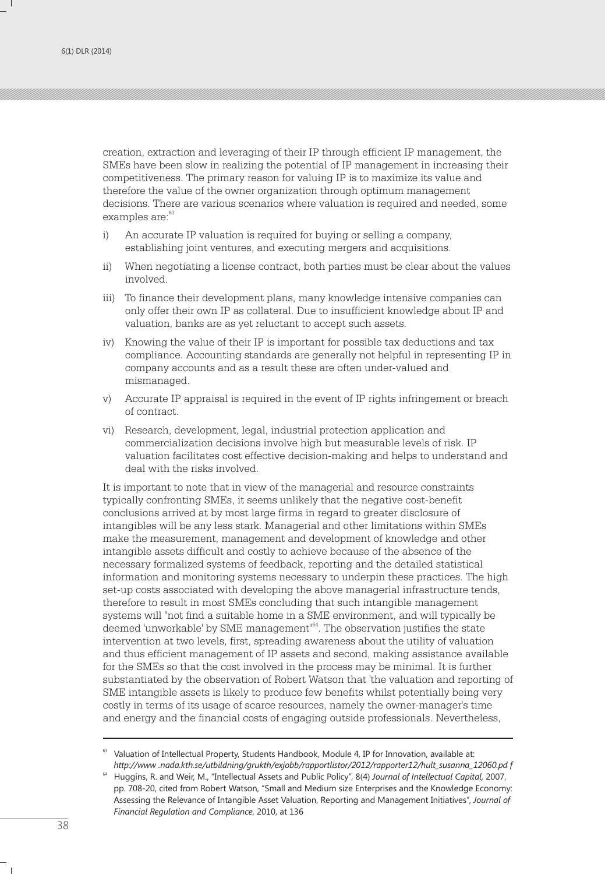creation, extraction and leveraging of their IP through efficient IP management, the SMEs have been slow in realizing the potential of IP management in increasing their competitiveness. The primary reason for valuing IP is to maximize its value and therefore the value of the owner organization through optimum management decisions. There are various scenarios where valuation is required and needed, some examples are:<sup>63</sup>

- i) An accurate IP valuation is required for buying or selling a company, establishing joint ventures, and executing mergers and acquisitions.
- ii) When negotiating a license contract, both parties must be clear about the values involved.
- iii) To finance their development plans, many knowledge intensive companies can only offer their own IP as collateral. Due to insufficient knowledge about IP and valuation, banks are as yet reluctant to accept such assets.
- iv) Knowing the value of their IP is important for possible tax deductions and tax compliance. Accounting standards are generally not helpful in representing IP in company accounts and as a result these are often under-valued and mismanaged.
- v) Accurate IP appraisal is required in the event of IP rights infringement or breach of contract.
- vi) Research, development, legal, industrial protection application and commercialization decisions involve high but measurable levels of risk. IP valuation facilitates cost effective decision-making and helps to understand and deal with the risks involved.

It is important to note that in view of the managerial and resource constraints typically confronting SMEs, it seems unlikely that the negative cost-benefit conclusions arrived at by most large firms in regard to greater disclosure of intangibles will be any less stark. Managerial and other limitations within SMEs make the measurement, management and development of knowledge and other intangible assets difficult and costly to achieve because of the absence of the necessary formalized systems of feedback, reporting and the detailed statistical information and monitoring systems necessary to underpin these practices. The high set-up costs associated with developing the above managerial infrastructure tends, therefore to result in most SMEs concluding that such intangible management systems will "not find a suitable home in a SME environment, and will typically be deemed 'unworkable' by SME management"<sup>64</sup>. The observation justifies the state intervention at two levels, first, spreading awareness about the utility of valuation and thus efficient management of IP assets and second, making assistance available for the SMEs so that the cost involved in the process may be minimal. It is further substantiated by the observation of Robert Watson that 'the valuation and reporting of SME intangible assets is likely to produce few benefits whilst potentially being very costly in terms of its usage of scarce resources, namely the owner-manager's time and energy and the financial costs of engaging outside professionals. Nevertheless,

<sup>&</sup>lt;sup>63</sup> Valuation of Intellectual Property, Students Handbook, Module 4, IP for Innovation, available at: *http://www .nada.kth.se/utbildning/grukth/exjobb/rapportlistor/2012/rapporter12/hult\_susanna\_12060.pd f*

<sup>64</sup> Huggins, R. and Weir, M., "Intellectual Assets and Public Policy", 8(4) *Journal of Intellectual Capital,* 2007, pp. 708-20, cited from Robert Watson, "Small and Medium size Enterprises and the Knowledge Economy: Assessing the Relevance of Intangible Asset Valuation, Reporting and Management Initiatives", *Journal of Financial Regulation and Compliance*, 2010, at 136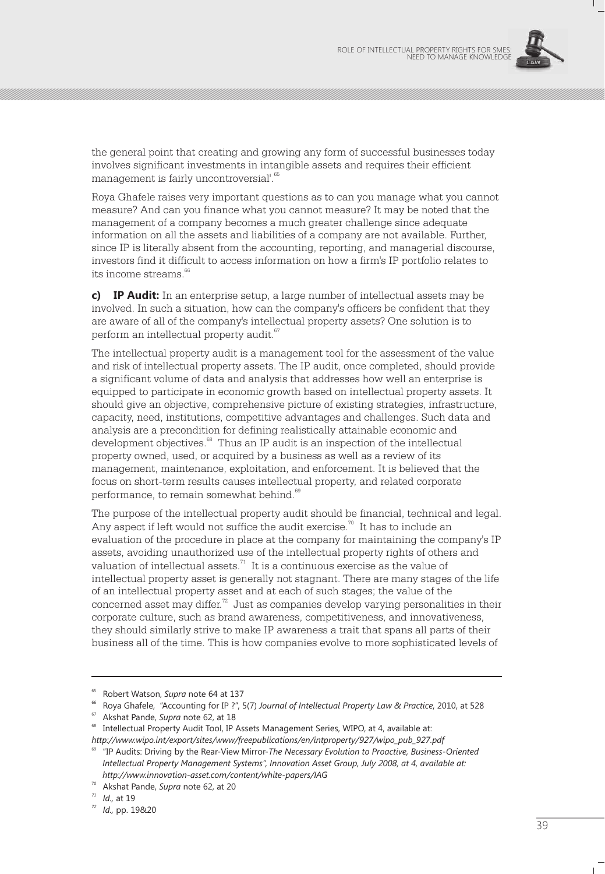

the general point that creating and growing any form of successful businesses today involves significant investments in intangible assets and requires their efficient management is fairly uncontroversial<sup>'.65</sup>

Roya Ghafele raises very important questions as to can you manage what you cannot measure? And can you finance what you cannot measure? It may be noted that the management of a company becomes a much greater challenge since adequate information on all the assets and liabilities of a company are not available. Further, since IP is literally absent from the accounting, reporting, and managerial discourse, investors find it difficult to access information on how a firm's IP portfolio relates to its income streams  $66$ 

**c) IP Audit:** In an enterprise setup, a large number of intellectual assets may be involved. In such a situation, how can the company's officers be confident that they are aware of all of the company's intellectual property assets? One solution is to perform an intellectual property audit.<sup>67</sup>

The intellectual property audit is a management tool for the assessment of the value and risk of intellectual property assets. The IP audit, once completed, should provide a significant volume of data and analysis that addresses how well an enterprise is equipped to participate in economic growth based on intellectual property assets. It should give an objective, comprehensive picture of existing strategies, infrastructure, capacity, need, institutions, competitive advantages and challenges. Such data and analysis are a precondition for defining realistically attainable economic and development objectives.<sup>68</sup> Thus an IP audit is an inspection of the intellectual property owned, used, or acquired by a business as well as a review of its management, maintenance, exploitation, and enforcement. It is believed that the focus on short-term results causes intellectual property, and related corporate performance, to remain somewhat behind.<sup>69</sup>

The purpose of the intellectual property audit should be financial, technical and legal. Any aspect if left would not suffice the audit exercise.<sup>70</sup> It has to include an evaluation of the procedure in place at the company for maintaining the company's IP assets, avoiding unauthorized use of the intellectual property rights of others and valuation of intellectual assets. $1$ <sup>1</sup> It is a continuous exercise as the value of intellectual property asset is generally not stagnant. There are many stages of the life of an intellectual property asset and at each of such stages; the value of the concerned asset may differ. $^{\prime\prime}$  Just as companies develop varying personalities in their corporate culture, such as brand awareness, competitiveness, and innovativeness, they should similarly strive to make IP awareness a trait that spans all parts of their business all of the time. This is how companies evolve to more sophisticated levels of

<sup>65</sup> Robert Watson, *Supra* note 64 at 137

<sup>66</sup> Roya Ghafele, "Accounting for IP ?", 5(7) *Journal of Intellectual Property Law & Practice*, 2010, at 528

<sup>67</sup> Akshat Pande, *Supra* note 62, at 18

<sup>&</sup>lt;sup>68</sup> Intellectual Property Audit Tool, IP Assets Management Series, WIPO, at 4, available at: *http://www.wipo.int/export/sites/www/freepublications/en/intproperty/927/wipo\_pub\_927.pdf*

<sup>69</sup> "IP Audits: Driving by the Rear-View Mirror-*The Necessary Evolution to Proactive, Business-Oriented Intellectual Property Management Systems", Innovation Asset Group, July 2008, at 4, available at: http://www.innovation-asset.com/content/white-papers/IAG*

<sup>70</sup> Akshat Pande, *Supra* note 62, at 20

*<sup>71</sup> Id.,* at 19

*<sup>72</sup> Id.,* pp. 19&20